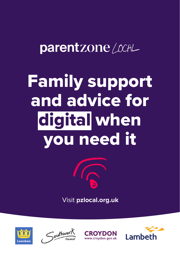### parentzone / CCAL

# Family support and advice for digital when you need it



Visit **pzlocal.org.uk**







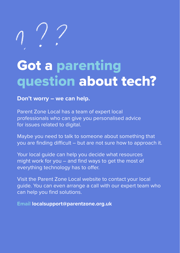### Got a parenting question about tech?

**Don't worry – we can help.**

Parent Zone Local has a team of expert local professionals who can give you personalised advice for issues related to digital.

Maybe you need to talk to someone about something that you are finding difficult – but are not sure how to approach it.

Your local guide can help you decide what resources might work for you – and find ways to get the most of everything technology has to offer.

Visit the Parent Zone Local website to contact your local guide. You can even arrange a call with our expert team who can help you find solutions.

**Email localsupport@parentzone.org.uk**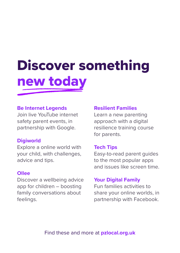# Discover something new today

#### **Be Internet Legends**

Join live YouTube internet safety parent events, in partnership with Google.

#### **Digiworld**

Explore a online world with your child, with challenges, advice and tips.

#### **Ollee**

Discover a wellbeing advice app for children – boosting family conversations about feelings.

#### **Resilient Families**

Learn a new parenting approach with a digital resilience training course for parents.

#### **Tech Tips**

Easy-to-read parent guides to the most popular apps and issues like screen time.

#### **Your Digital Family**

Fun families activities to share your online worlds, in partnership with Facebook.

Find these and more at **pzlocal.org.uk**